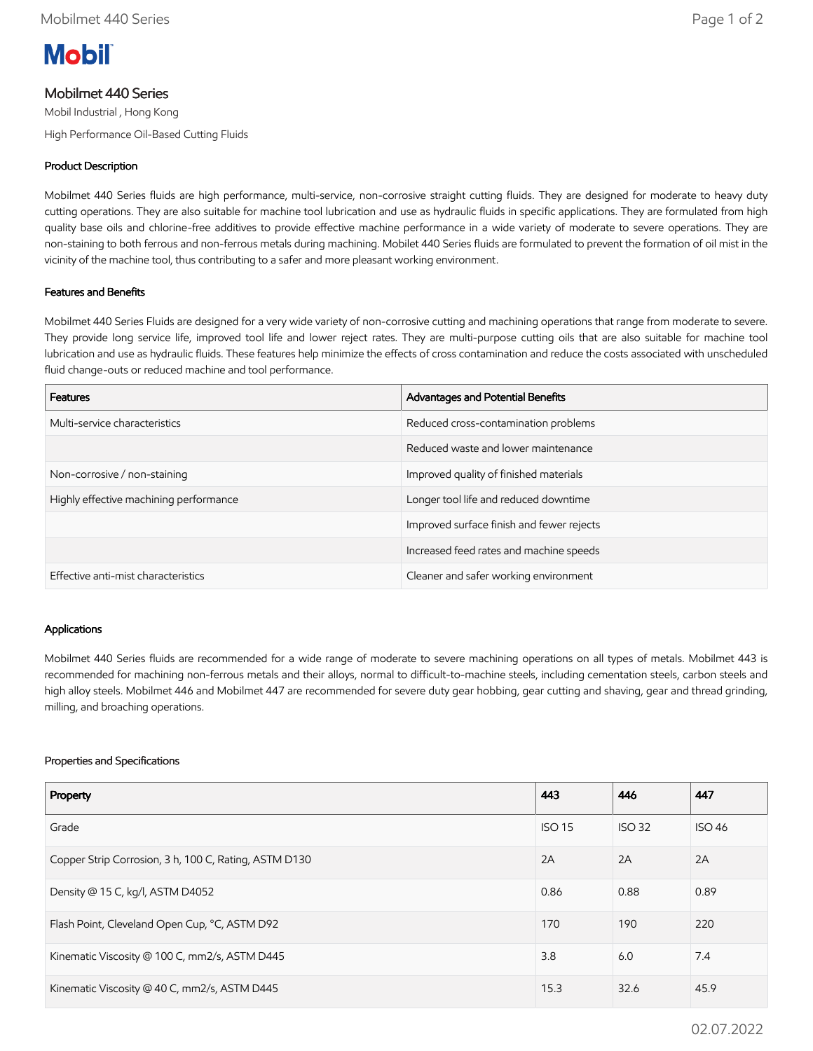

# Mobilmet 440 Series

Mobil Industrial , Hong Kong

High Performance Oil-Based Cutting Fluids

## Product Description

Mobilmet 440 Series fluids are high performance, multi-service, non-corrosive straight cutting fluids. They are designed for moderate to heavy duty cutting operations. They are also suitable for machine tool lubrication and use as hydraulic fluids in specific applications. They are formulated from high quality base oils and chlorine-free additives to provide effective machine performance in a wide variety of moderate to severe operations. They are non-staining to both ferrous and non-ferrous metals during machining. Mobilet 440 Series fluids are formulated to prevent the formation of oil mist in the vicinity of the machine tool, thus contributing to a safer and more pleasant working environment.

## Features and Benefits

Mobilmet 440 Series Fluids are designed for a very wide variety of non-corrosive cutting and machining operations that range from moderate to severe. They provide long service life, improved tool life and lower reject rates. They are multi-purpose cutting oils that are also suitable for machine tool lubrication and use as hydraulic fluids. These features help minimize the effects of cross contamination and reduce the costs associated with unscheduled fluid change-outs or reduced machine and tool performance.

| <b>Features</b>                        | Advantages and Potential Benefits         |
|----------------------------------------|-------------------------------------------|
| Multi-service characteristics          | Reduced cross-contamination problems      |
|                                        | Reduced waste and lower maintenance       |
| Non-corrosive / non-staining           | Improved quality of finished materials    |
| Highly effective machining performance | Longer tool life and reduced downtime     |
|                                        | Improved surface finish and fewer rejects |
|                                        | Increased feed rates and machine speeds   |
| Effective anti-mist characteristics    | Cleaner and safer working environment     |

#### Applications

Mobilmet 440 Series fluids are recommended for a wide range of moderate to severe machining operations on all types of metals. Mobilmet 443 is recommended for machining non-ferrous metals and their alloys, normal to difficult-to-machine steels, including cementation steels, carbon steels and high alloy steels. Mobilmet 446 and Mobilmet 447 are recommended for severe duty gear hobbing, gear cutting and shaving, gear and thread grinding, milling, and broaching operations.

#### Properties and Specifications

| Property                                              | 443           | 446           | 447           |
|-------------------------------------------------------|---------------|---------------|---------------|
| Grade                                                 | <b>ISO 15</b> | <b>ISO 32</b> | <b>ISO 46</b> |
| Copper Strip Corrosion, 3 h, 100 C, Rating, ASTM D130 | 2A            | 2A            | 2A            |
| Density @ 15 C, kg/l, ASTM D4052                      | 0.86          | 0.88          | 0.89          |
| Flash Point, Cleveland Open Cup, °C, ASTM D92         | 170           | 190           | 220           |
| Kinematic Viscosity @ 100 C, mm2/s, ASTM D445         | 3.8           | 6.0           | 7.4           |
| Kinematic Viscosity @ 40 C, mm2/s, ASTM D445          | 15.3          | 32.6          | 45.9          |